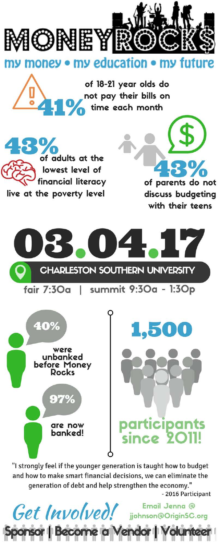

my money • my education • my future

of 18-21 year olds do not pay their bills on











"I strongly feel if the younger generation is taught how to budget and how to make smart financial decisions, we can eliminate the generation of debt and help strengthen the economy."

Get Involved! jjohnson@OriginSC.org

sor | Become a Vendor |

- 2016 Participant

Email Jenna @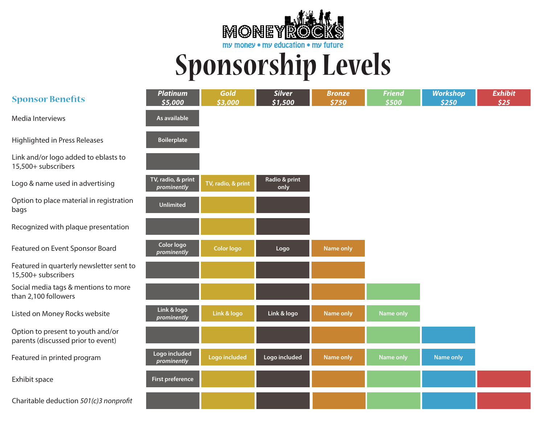

## **Sponsorship Levels**

| <b>Sponsor Benefits</b>                                                 | <b>Platinum</b><br>\$5,000        | Gold<br>\$3,000    | <b>Silver</b><br>\$1,500 | <b>Bronze</b><br>\$750 | <b>Friend</b><br>\$500 | <b>Workshop</b><br>\$250 | <b>Exhibit</b><br>\$25 |
|-------------------------------------------------------------------------|-----------------------------------|--------------------|--------------------------|------------------------|------------------------|--------------------------|------------------------|
| Media Interviews                                                        | As available                      |                    |                          |                        |                        |                          |                        |
| Highlighted in Press Releases                                           | <b>Boilerplate</b>                |                    |                          |                        |                        |                          |                        |
| Link and/or logo added to eblasts to<br>15,500+ subscribers             |                                   |                    |                          |                        |                        |                          |                        |
| Logo & name used in advertising                                         | TV, radio, & print<br>prominently | TV, radio, & print | Radio & print<br>only    |                        |                        |                          |                        |
| Option to place material in registration<br>bags                        | <b>Unlimited</b>                  |                    |                          |                        |                        |                          |                        |
| Recognized with plaque presentation                                     |                                   |                    |                          |                        |                        |                          |                        |
| Featured on Event Sponsor Board                                         | Color logo<br>prominently         | <b>Color logo</b>  | Logo                     | <b>Name only</b>       |                        |                          |                        |
| Featured in quarterly newsletter sent to<br>15,500+ subscribers         |                                   |                    |                          |                        |                        |                          |                        |
| Social media tags & mentions to more<br>than 2,100 followers            |                                   |                    |                          |                        |                        |                          |                        |
| Listed on Money Rocks website                                           | Link & logo<br>prominently        | Link & logo        | Link & logo              | <b>Name only</b>       | <b>Name only</b>       |                          |                        |
| Option to present to youth and/or<br>parents (discussed prior to event) |                                   |                    |                          |                        |                        |                          |                        |
| Featured in printed program                                             | Logo included<br>prominently      | Logo included      | Logo included            | Name only              | Name only              | <b>Name only</b>         |                        |
| Exhibit space                                                           | First preference                  |                    |                          |                        |                        |                          |                        |
| Charitable deduction 501(c)3 nonprofit                                  |                                   |                    |                          |                        |                        |                          |                        |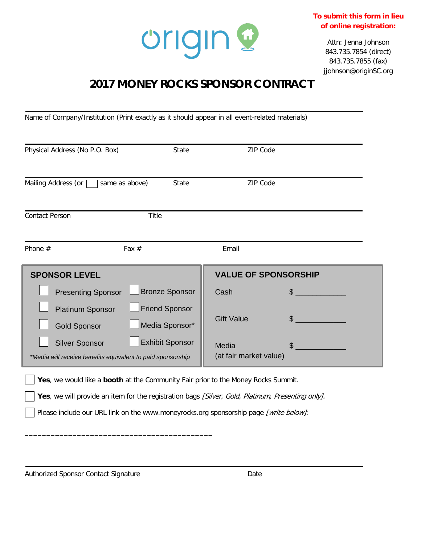

**To submit this form in lieu of online registration:**

> Attn: Jenna Johnson 843.735.7854 (direct) 843.735.7855 (fax) jjohnson@originSC.org

## **2017 MONEY ROCKS SPONSOR CONTRACT**

Name of Company/Institution (Print exactly as it should appear in all event-related materials)

| Physical Address (No P.O. Box)                                                       | State                                   | ZIP Code                        |                |
|--------------------------------------------------------------------------------------|-----------------------------------------|---------------------------------|----------------|
| Mailing Address (or<br>same as above)                                                | <b>State</b>                            | <b>ZIP Code</b>                 |                |
| <b>Contact Person</b><br><b>Title</b>                                                |                                         |                                 |                |
| Fax $#$<br>Phone $#$                                                                 |                                         | Email                           |                |
| <b>SPONSOR LEVEL</b>                                                                 |                                         | <b>VALUE OF SPONSORSHIP</b>     |                |
| <b>Presenting Sponsor</b>                                                            | Bronze Sponsor                          | Cash                            | \$             |
| <b>Platinum Sponsor</b><br><b>Gold Sponsor</b>                                       | <b>Friend Sponsor</b><br>Media Sponsor* | <b>Gift Value</b>               | $\mathfrak{L}$ |
| <b>Silver Sponsor</b><br>*Media will receive benefits equivalent to paid sponsorship | <b>Exhibit Sponsor</b>                  | Media<br>(at fair market value) | $\mathbb{S}$   |

**Yes**, we would like a **booth** at the Community Fair prior to the Money Rocks Summit.

Yes, we will provide an item for the registration bags [Silver, Gold, Platinum, Presenting only].

Please include our URL link on the www.moneyrocks.org sponsorship page [write below]:

Authorized Sponsor Contact Signature **Date** Date

**\_\_\_\_\_\_\_\_\_\_\_\_\_\_\_\_\_\_\_\_\_\_\_\_\_\_\_\_\_\_\_\_\_\_\_\_\_\_\_\_\_\_\_**